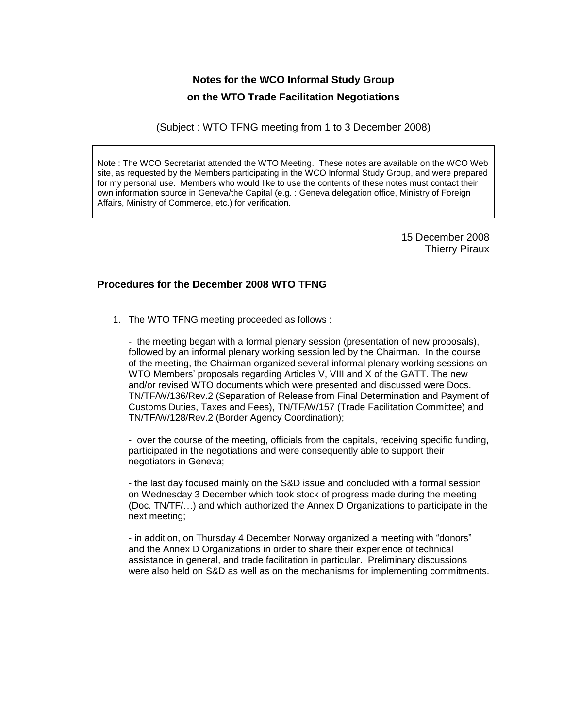# **Notes for the WCO Informal Study Group on the WTO Trade Facilitation Negotiations**

(Subject : WTO TFNG meeting from 1 to 3 December 2008)

Note : The WCO Secretariat attended the WTO Meeting. These notes are available on the WCO Web site, as requested by the Members participating in the WCO Informal Study Group, and were prepared for my personal use. Members who would like to use the contents of these notes must contact their own information source in Geneva/the Capital (e.g. : Geneva delegation office, Ministry of Foreign Affairs, Ministry of Commerce, etc.) for verification.

> 15 December 2008 Thierry Piraux

# **Procedures for the December 2008 WTO TFNG**

1. The WTO TFNG meeting proceeded as follows :

- the meeting began with a formal plenary session (presentation of new proposals), followed by an informal plenary working session led by the Chairman. In the course of the meeting, the Chairman organized several informal plenary working sessions on followed by an informal plenary working session led by the Chairman. In the course<br>of the meeting, the Chairman organized several informal plenary working sessions on<br>WTO Members' proposals regarding Articles V, VIII and X and/or revised WTO documents which were presented and discussed were Docs. TN/TF/W/136/Rev.2 (Separation of Release from Final Determination and Payment of Customs Duties, Taxes and Fees), TN/TF/W/157 (Trade Facilitation Committee) and TN/TF/W/128/Rev.2 (Border Agency Coordination);

- over the course of the meeting, officials from the capitals, receiving specific funding, participated in the negotiations and were consequently able to support their negotiators in Geneva;

- the last day focused mainly on the S&D issue and concluded with a formal session on Wednesday 3 December which took stock of progress made during the meeting (Doc.  $TNTF/$ ...) and which authorized the Annex D Organizations to participate in the next meeting;

- in addition, on Thursday 4 December Norway organized a meeting with "donors" and the Annex D Organizations in order to share their experience of technical assistance in general, and trade facilitation in particular. Preliminary discussions were also held on S&D as well as on the mechanisms for implementing commitments.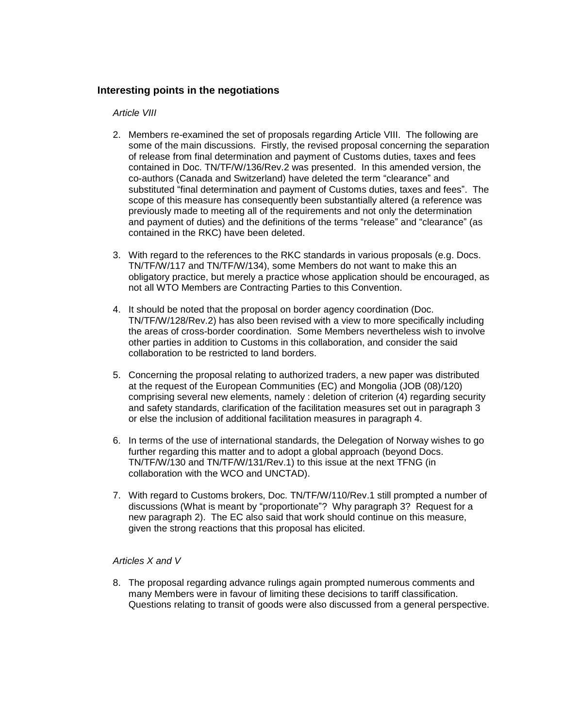# **Interesting points in the negotiations**

#### Article VIII

- 2. Members re-examined the set of proposals regarding Article VIII. The following are some of the main discussions. Firstly, the revised proposal concerning the separation of release from final determination and payment of Customs duties, taxes and fees contained in Doc. TN/TF/W/136/Rev.2 was presented. In this amended version, the of release from final determination and payment of Customs duties, taxes and fees<br>contained in Doc. TN/TF/W/136/Rev.2 was presented. In this amended version, the<br>co-authors (Canada and Switzerland) have deleted the term "c contained in Doc. TN/TF/W/136/Rev.2 was presented. In this amended version, the co-authors (Canada and Switzerland) have deleted the term "clearance" and substituted "final determination and payment of Customs duties, taxe scope of this measure has consequently been substantially altered (a reference was previously made to meeting all of the requirements and not only the determination substituted "final determination and payment of Customs duties, taxes and fees". The scope of this measure has consequently been substantially altered (a reference was previously made to meeting all of the requirements and contained in the RKC) have been deleted.
- 3. With regard to the references to the RKC standards in various proposals (e.g. Docs. TN/TF/W/117 and TN/TF/W/134), some Members do not want to make this an obligatory practice, but merely a practice whose application should be encouraged, as not all WTO Members are Contracting Parties to this Convention.
- 4. It should be noted that the proposal on border agency coordination (Doc. TN/TF/W/128/Rev.2) has also been revised with a view to more specifically including the areas of cross-border coordination. Some Members nevertheless wish to involve other parties in addition to Customs in this collaboration, and consider the said collaboration to be restricted to land borders.
- 5. Concerning the proposal relating to authorized traders, a new paperwas distributed at the request of the European Communities (EC) and Mongolia (JOB (08)/120) comprising several new elements, namely : deletion of criterion (4) regarding security and safety standards, clarification of the facilitation measures setout in paragraph 3 or else the inclusion of additional facilitation measures in paragraph 4.
- 6. In terms of the use of international standards, the Delegation of Norway wishes to go further regarding this matter and to adopt a global approach (beyond Docs. TN/TF/W/130 and TN/TF/W/131/Rev.1) to this issue at the next TFNG (in collaboration with the WCO and UNCTAD).
- 7. With regard to Customs brokers, Doc. TN/TF/W/110/Rev.1 still prompted a number of discussions (What is meant become your conductional still prompted a number of<br>With regard to Customs brokers, Doc. TN/TF/W/110/Rev.1 still prompted a number of<br>discussions (What is meant by "proportionate"? Why paragraph new paragraph 2). The EC also said that work should continue on this measure, given the strong reactions that this proposal has elicited.

## Articles X and V

8. The proposal regarding advance rulings again prompted numerous comments and many Members were in favour of limiting these decisions to tariff classification. Questions relating to transit of goods were also discussed from a general perspective.